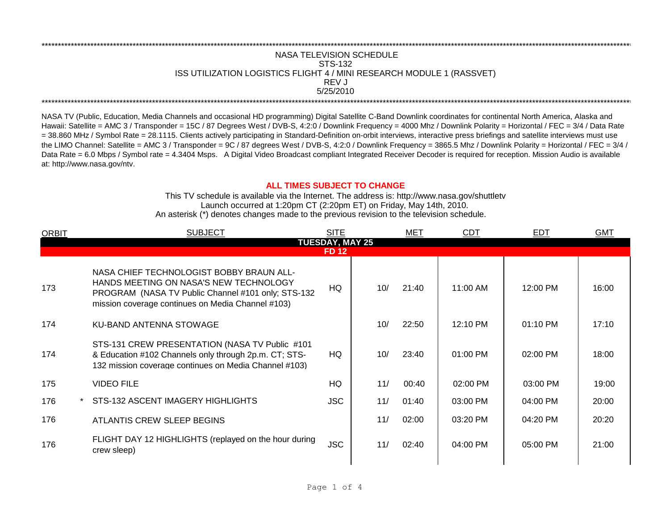## REV J \*\*\*\*\*\*\*\*\*\*\*\*\*\*\*\*\*\*\*\*\*\*\*\*\*\*\*\*\*\*\*\*\*\*\*\*\*\*\*\*\*\*\*\*\*\*\*\*\*\*\*\*\*\*\*\*\*\*\*\*\*\*\*\*\*\*\*\*\*\*\*\*\*\*\*\*\*\*\*\*\*\*\*\*\*\*\*\*\*\*\*\*\*\*\*\*\*\*\*\*\*\*\*\*\*\*\*\*\*\*\*\*\*\*\*\*\*\*\*\*\*\*\*\*\*\*\*\*\*\*\*\*\*\*\*\*\*\*\*\*\*\*\*\*\*\*\*\*\*\*\*\*\*\*\*\*\*\*\*\*\*\*\*\*\*\*\*\*\*\*\*\*\*\*\*\*\*\*\*\*\*\*\*\*\* \*\*\*\*\*\*\*\*\*\*\*\*\*\*\*\*\*\*\*\*\*\*\*\*\*\*\*\*\*\*\*\*\*\*\*\*\*\*\*\*\*\*\*\*\*\*\*\*\*\*\*\*\*\*\*\*\*\*\*\*\*\*\*\*\*\*\*\*\*\*\*\*\*\*\*\*\*\*\*\*\*\*\*\*\*\*\*\*\*\*\*\*\*\*\*\*\*\*\*\*\*\*\*\*\*\*\*\*\*\*\*\*\*\*\*\*\*\*\*\*\*\*\*\*\*\*\*\*\*\*\*\*\*\*\*\*\*\*\*\*\*\*\*\*\*\*\*\*\*\*\*\*\*\*\*\*\*\*\*\*\*\*\*\*\*\*\*\*\*\*\*\*\*\*\*\*\*\*\*\*\*\*\*\*\* NASA TELEVISION SCHEDULE STS-132 ISS UTILIZATION LOGISTICS FLIGHT 4 / MINI RESEARCH MODULE 1 (RASSVET) 5/25/2010

NASA TV (Public, Education, Media Channels and occasional HD programming) Digital Satellite C-Band Downlink coordinates for continental North America, Alaska and Hawaii: Satellite = AMC 3 / Transponder = 15C / 87 Degrees West / DVB-S, 4:2:0 / Downlink Frequency = 4000 Mhz / Downlink Polarity = Horizontal / FEC = 3/4 / Data Rate = 38.860 MHz / Symbol Rate = 28.1115. Clients actively participating in Standard-Definition on-orbit interviews, interactive press briefings and satellite interviews must use the LIMO Channel: Satellite = AMC 3 / Transponder = 9C / 87 degrees West / DVB-S, 4:2:0 / Downlink Frequency = 3865.5 Mhz / Downlink Polarity = Horizontal / FEC = 3/4 / Data Rate = 6.0 Mbps / Symbol rate = 4.3404 Msps. A Digital Video Broadcast compliant Integrated Receiver Decoder is required for reception. Mission Audio is available at: http://www.nasa.gov/ntv.

## **ALL TIMES SUBJECT TO CHANGE**

Launch occurred at 1:20pm CT (2:20pm ET) on Friday, May 14th, 2010. An asterisk (\*) denotes changes made to the previous revision to the television schedule. This TV schedule is available via the Internet. The address is: http://www.nasa.gov/shuttletv

| <b>ORBIT</b>  | <b>SUBJECT</b>                                                                                                                                                                                | <b>SITE</b> |     | <b>MET</b> | <b>CDT</b> | <b>EDT</b> | <b>GMT</b> |  |  |
|---------------|-----------------------------------------------------------------------------------------------------------------------------------------------------------------------------------------------|-------------|-----|------------|------------|------------|------------|--|--|
|               | <b>TUESDAY, MAY 25</b>                                                                                                                                                                        |             |     |            |            |            |            |  |  |
| <b>FD 12.</b> |                                                                                                                                                                                               |             |     |            |            |            |            |  |  |
| 173           | NASA CHIEF TECHNOLOGIST BOBBY BRAUN ALL-<br>HANDS MEETING ON NASA'S NEW TECHNOLOGY<br>PROGRAM (NASA TV Public Channel #101 only; STS-132<br>mission coverage continues on Media Channel #103) | HQ          | 10/ | 21:40      | 11:00 AM   | 12:00 PM   | 16:00      |  |  |
| 174           | KU-BAND ANTENNA STOWAGE                                                                                                                                                                       |             | 10/ | 22:50      | 12:10 PM   | 01:10 PM   | 17:10      |  |  |
| 174           | STS-131 CREW PRESENTATION (NASA TV Public #101<br>& Education #102 Channels only through 2p.m. CT; STS-<br>132 mission coverage continues on Media Channel #103)                              | HQ.         | 10/ | 23:40      | 01:00 PM   | 02:00 PM   | 18:00      |  |  |
| 175           | <b>VIDEO FILE</b>                                                                                                                                                                             | HQ          | 11/ | 00:40      | 02:00 PM   | 03:00 PM   | 19:00      |  |  |
| 176           | STS-132 ASCENT IMAGERY HIGHLIGHTS                                                                                                                                                             | <b>JSC</b>  | 11/ | 01:40      | 03:00 PM   | 04:00 PM   | 20:00      |  |  |
| 176           | ATLANTIS CREW SLEEP BEGINS                                                                                                                                                                    |             | 11/ | 02:00      | 03:20 PM   | 04:20 PM   | 20:20      |  |  |
| 176           | FLIGHT DAY 12 HIGHLIGHTS (replayed on the hour during<br>crew sleep)                                                                                                                          | <b>JSC</b>  | 11/ | 02:40      | 04:00 PM   | 05:00 PM   | 21:00      |  |  |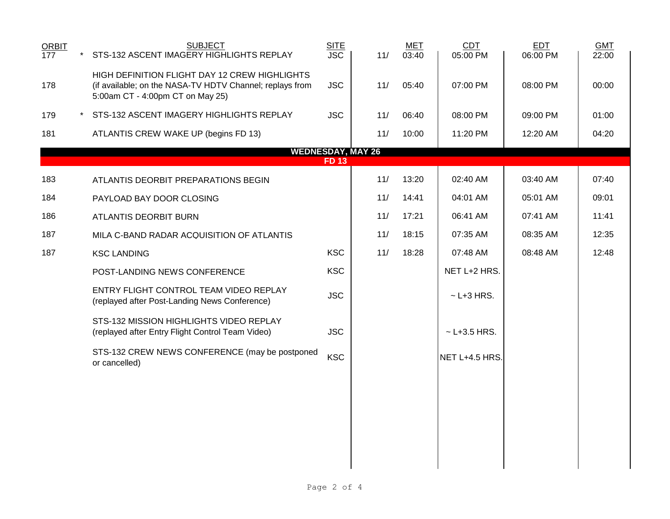| <b>ORBIT</b>     |         | <b>SUBJECT</b>                                                                                                                                | <b>SITE</b>  |                          | <b>MET</b> | CDT              | <b>EDT</b> | <b>GMT</b> |
|------------------|---------|-----------------------------------------------------------------------------------------------------------------------------------------------|--------------|--------------------------|------------|------------------|------------|------------|
| $\overline{177}$ | $\star$ | STS-132 ASCENT IMAGERY HIGHLIGHTS REPLAY                                                                                                      | <b>JSC</b>   | 11/                      | 03:40      | 05:00 PM         | 06:00 PM   | 22:00      |
| 178              |         | HIGH DEFINITION FLIGHT DAY 12 CREW HIGHLIGHTS<br>(if available; on the NASA-TV HDTV Channel; replays from<br>5:00am CT - 4:00pm CT on May 25) | <b>JSC</b>   | 11/                      | 05:40      | 07:00 PM         | 08:00 PM   | 00:00      |
| 179              |         | STS-132 ASCENT IMAGERY HIGHLIGHTS REPLAY                                                                                                      | <b>JSC</b>   | 11/                      | 06:40      | 08:00 PM         | 09:00 PM   | 01:00      |
| 181              |         | ATLANTIS CREW WAKE UP (begins FD 13)                                                                                                          |              | 11/                      | 10:00      | 11:20 PM         | 12:20 AM   | 04:20      |
|                  |         |                                                                                                                                               |              | <b>WEDNESDAY, MAY 26</b> |            |                  |            |            |
|                  |         |                                                                                                                                               | <b>FD 13</b> |                          |            |                  |            |            |
| 183              |         | ATLANTIS DEORBIT PREPARATIONS BEGIN                                                                                                           |              | 11/                      | 13:20      | 02:40 AM         | 03:40 AM   | 07:40      |
| 184              |         | PAYLOAD BAY DOOR CLOSING                                                                                                                      |              | 11/                      | 14:41      | 04:01 AM         | 05:01 AM   | 09:01      |
| 186              |         | ATLANTIS DEORBIT BURN                                                                                                                         |              | 11/                      | 17:21      | 06:41 AM         | 07:41 AM   | 11:41      |
| 187              |         | MILA C-BAND RADAR ACQUISITION OF ATLANTIS                                                                                                     |              | 11/                      | 18:15      | 07:35 AM         | 08:35 AM   | 12:35      |
| 187              |         | <b>KSC LANDING</b>                                                                                                                            | <b>KSC</b>   | 11/                      | 18:28      | 07:48 AM         | 08:48 AM   | 12:48      |
|                  |         | POST-LANDING NEWS CONFERENCE                                                                                                                  | <b>KSC</b>   |                          |            | NET L+2 HRS.     |            |            |
|                  |         | ENTRY FLIGHT CONTROL TEAM VIDEO REPLAY<br>(replayed after Post-Landing News Conference)                                                       | <b>JSC</b>   |                          |            | $\sim$ L+3 HRS.  |            |            |
|                  |         | STS-132 MISSION HIGHLIGHTS VIDEO REPLAY<br>(replayed after Entry Flight Control Team Video)                                                   | <b>JSC</b>   |                          |            | $~$ - L+3.5 HRS. |            |            |
|                  |         | STS-132 CREW NEWS CONFERENCE (may be postponed<br>or cancelled)                                                                               | <b>KSC</b>   |                          |            | NET L+4.5 HRS.   |            |            |
|                  |         |                                                                                                                                               |              |                          |            |                  |            |            |
|                  |         |                                                                                                                                               |              |                          |            |                  |            |            |
|                  |         |                                                                                                                                               |              |                          |            |                  |            |            |
|                  |         |                                                                                                                                               |              |                          |            |                  |            |            |
|                  |         |                                                                                                                                               |              |                          |            |                  |            |            |
|                  |         |                                                                                                                                               |              |                          |            |                  |            |            |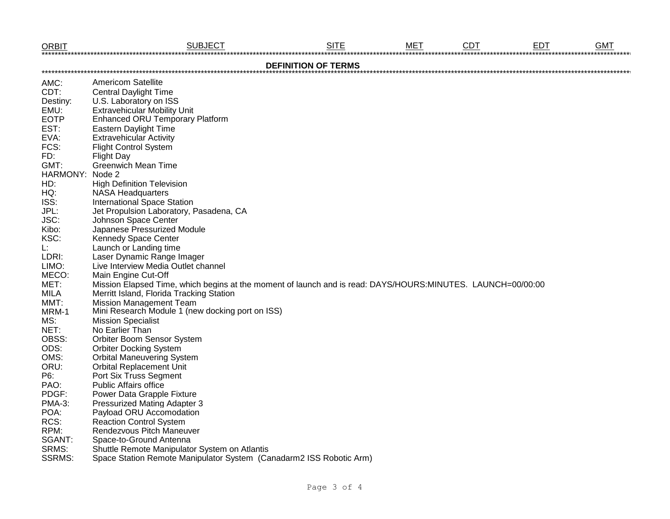| <b>ORBIT</b>               | <b>SUBJECT</b>                                                                                              | <b>SITE</b> | <b>MET</b> | <b>CDT</b> | <b>EDT</b> | <b>GMT</b> |  |  |  |
|----------------------------|-------------------------------------------------------------------------------------------------------------|-------------|------------|------------|------------|------------|--|--|--|
| <b>DEFINITION OF TERMS</b> |                                                                                                             |             |            |            |            |            |  |  |  |
| AMC:                       | <b>Americom Satellite</b>                                                                                   |             |            |            |            |            |  |  |  |
| CDT:                       | <b>Central Daylight Time</b>                                                                                |             |            |            |            |            |  |  |  |
| Destiny:                   | U.S. Laboratory on ISS                                                                                      |             |            |            |            |            |  |  |  |
| EMU:                       | <b>Extravehicular Mobility Unit</b>                                                                         |             |            |            |            |            |  |  |  |
| <b>EOTP</b>                | <b>Enhanced ORU Temporary Platform</b>                                                                      |             |            |            |            |            |  |  |  |
| EST:                       | <b>Eastern Daylight Time</b>                                                                                |             |            |            |            |            |  |  |  |
| EVA:                       | <b>Extravehicular Activity</b>                                                                              |             |            |            |            |            |  |  |  |
| FCS:                       | <b>Flight Control System</b>                                                                                |             |            |            |            |            |  |  |  |
| FD:                        | <b>Flight Day</b>                                                                                           |             |            |            |            |            |  |  |  |
| GMT:                       | Greenwich Mean Time                                                                                         |             |            |            |            |            |  |  |  |
| HARMONY: Node 2            |                                                                                                             |             |            |            |            |            |  |  |  |
| HD:                        | <b>High Definition Television</b>                                                                           |             |            |            |            |            |  |  |  |
| HQ:                        | <b>NASA Headquarters</b>                                                                                    |             |            |            |            |            |  |  |  |
| ISS:                       | <b>International Space Station</b>                                                                          |             |            |            |            |            |  |  |  |
| JPL:                       | Jet Propulsion Laboratory, Pasadena, CA                                                                     |             |            |            |            |            |  |  |  |
| JSC:                       | Johnson Space Center                                                                                        |             |            |            |            |            |  |  |  |
| Kibo:                      | Japanese Pressurized Module                                                                                 |             |            |            |            |            |  |  |  |
| KSC:                       | Kennedy Space Center                                                                                        |             |            |            |            |            |  |  |  |
| L:                         | Launch or Landing time                                                                                      |             |            |            |            |            |  |  |  |
| LDRI:                      | Laser Dynamic Range Imager                                                                                  |             |            |            |            |            |  |  |  |
| LIMO:                      | Live Interview Media Outlet channel                                                                         |             |            |            |            |            |  |  |  |
| MECO:                      | Main Engine Cut-Off                                                                                         |             |            |            |            |            |  |  |  |
| MET:                       | Mission Elapsed Time, which begins at the moment of launch and is read: DAYS/HOURS:MINUTES. LAUNCH=00/00:00 |             |            |            |            |            |  |  |  |
| <b>MILA</b>                | Merritt Island, Florida Tracking Station                                                                    |             |            |            |            |            |  |  |  |
| MMT:                       | <b>Mission Management Team</b>                                                                              |             |            |            |            |            |  |  |  |
| MRM-1                      | Mini Research Module 1 (new docking port on ISS)                                                            |             |            |            |            |            |  |  |  |
| MS:                        | <b>Mission Specialist</b>                                                                                   |             |            |            |            |            |  |  |  |
| NET:                       | No Earlier Than                                                                                             |             |            |            |            |            |  |  |  |
| OBSS:                      | Orbiter Boom Sensor System                                                                                  |             |            |            |            |            |  |  |  |
| ODS:                       | <b>Orbiter Docking System</b>                                                                               |             |            |            |            |            |  |  |  |
| OMS:                       | <b>Orbital Maneuvering System</b>                                                                           |             |            |            |            |            |  |  |  |
| ORU:                       | <b>Orbital Replacement Unit</b>                                                                             |             |            |            |            |            |  |  |  |
| P6:                        | Port Six Truss Segment                                                                                      |             |            |            |            |            |  |  |  |
| PAO:                       | <b>Public Affairs office</b>                                                                                |             |            |            |            |            |  |  |  |
| PDGF:                      | Power Data Grapple Fixture                                                                                  |             |            |            |            |            |  |  |  |
| PMA-3:                     | <b>Pressurized Mating Adapter 3</b>                                                                         |             |            |            |            |            |  |  |  |
| POA:                       | Payload ORU Accomodation                                                                                    |             |            |            |            |            |  |  |  |
| RCS:                       | <b>Reaction Control System</b>                                                                              |             |            |            |            |            |  |  |  |
| RPM:                       | Rendezvous Pitch Maneuver                                                                                   |             |            |            |            |            |  |  |  |
| SGANT:                     | Space-to-Ground Antenna                                                                                     |             |            |            |            |            |  |  |  |
| SRMS:                      | Shuttle Remote Manipulator System on Atlantis                                                               |             |            |            |            |            |  |  |  |
| <b>SSRMS:</b>              | Space Station Remote Manipulator System (Canadarm2 ISS Robotic Arm)                                         |             |            |            |            |            |  |  |  |